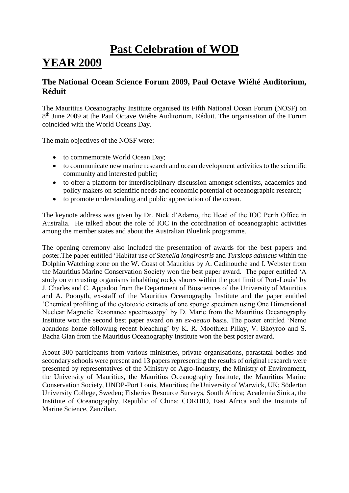### **Past Celebration of WOD YEAR 2009**

### **The National Ocean Science Forum 2009, Paul Octave Wiéhé Auditorium, Réduit**

The Mauritius Oceanography Institute organised its Fifth National Ocean Forum (NOSF) on 8<sup>th</sup> June 2009 at the Paul Octave Wiéhe Auditorium, Réduit. The organisation of the Forum coincided with the World Oceans Day.

The main objectives of the NOSF were:

- to commemorate World Ocean Day:
- to communicate new marine research and ocean development activities to the scientific community and interested public;
- to offer a platform for interdisciplinary discussion amongst scientists, academics and policy makers on scientific needs and economic potential of oceanographic research;
- to promote understanding and public appreciation of the ocean.

The keynote address was given by Dr. Nick d'Adamo, the Head of the IOC Perth Office in Australia. He talked about the role of IOC in the coordination of oceanographic activities among the member states and about the Australian Bluelink programme.

The opening ceremony also included the presentation of awards for the best papers and poster.The paper entitled 'Habitat use of *Stenella longirostris* and *Tursiops aduncus* within the Dolphin Watching zone on the W. Coast of Mauritius by A. Cadinouche and I. Webster from the Mauritius Marine Conservation Society won the best paper award. The paper entitled 'A study on encrusting organisms inhabiting rocky shores within the port limit of Port-Louis' by J. Charles and C. Appadoo from the Department of Biosciences of the University of Mauritius and A. Poonyth, ex-staff of the Mauritius Oceanography Institute and the paper entitled 'Chemical profiling of the cytotoxic extracts of one sponge specimen using One Dimensional Nuclear Magnetic Resonance spectroscopy' by D. Marie from the Mauritius Oceanography Institute won the second best paper award on an *ex-aequo* basis. The poster entitled 'Nemo abandons home following recent bleaching' by K. R. Moothien Pillay, V. Bhoyroo and S. Bacha Gian from the Mauritius Oceanography Institute won the best poster award.

About 300 participants from various ministries, private organisations, parastatal bodies and secondary schools were present and 13 papers representing the results of original research were presented by representatives of the Ministry of Agro-Industry, the Ministry of Environment, the University of Mauritius, the Mauritius Oceanography Institute, the Mauritius Marine Conservation Society, UNDP-Port Louis, Mauritius; the University of Warwick, UK; Södertön University College, Sweden; Fisheries Resource Surveys, South Africa; Academia Sinica, the Institute of Oceanography, Republic of China; CORDIO, East Africa and the Institute of Marine Science, Zanzibar.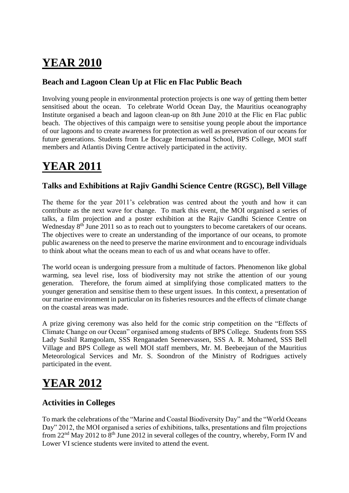### **Beach and Lagoon Clean Up at Flic en Flac Public Beach**

Involving young people in environmental protection projects is one way of getting them better sensitised about the ocean. To celebrate World Ocean Day, the Mauritius oceanography Institute organised a beach and lagoon clean-up on 8th June 2010 at the Flic en Flac public beach. The objectives of this campaign were to sensitise young people about the importance of our lagoons and to create awareness for protection as well as preservation of our oceans for future generations. Students from Le Bocage International School, BPS College, MOI staff members and Atlantis Diving Centre actively participated in the activity.

## **YEAR 2011**

### **Talks and Exhibitions at Rajiv Gandhi Science Centre (RGSC), Bell Village**

The theme for the year 2011's celebration was centred about the youth and how it can contribute as the next wave for change. To mark this event, the MOI organised a series of talks, a film projection and a poster exhibition at the Rajiv Gandhi Science Centre on Wednesday 8<sup>th</sup> June 2011 so as to reach out to youngsters to become caretakers of our oceans. The objectives were to create an understanding of the importance of our oceans, to promote public awareness on the need to preserve the marine environment and to encourage individuals to think about what the oceans mean to each of us and what oceans have to offer.

The world ocean is undergoing pressure from a multitude of factors. Phenomenon like global warming, sea level rise, loss of biodiversity may not strike the attention of our young generation. Therefore, the forum aimed at simplifying those complicated matters to the younger generation and sensitise them to these urgent issues. In this context, a presentation of our marine environment in particular on its fisheries resources and the effects of climate change on the coastal areas was made.

A prize giving ceremony was also held for the comic strip competition on the "Effects of Climate Change on our Ocean" organised among students of BPS College. Students from SSS Lady Sushil Ramgoolam, SSS Renganaden Seeneevassen, SSS A. R. Mohamed, SSS Bell Village and BPS College as well MOI staff members, Mr. M. Beebeejaun of the Mauritius Meteorological Services and Mr. S. Soondron of the Ministry of Rodrigues actively participated in the event.

# **YEAR 2012**

### **Activities in Colleges**

To mark the celebrations of the "Marine and Coastal Biodiversity Day" and the "World Oceans Day" 2012, the MOI organised a series of exhibitions, talks, presentations and film projections from  $22<sup>nd</sup>$  May 2012 to  $8<sup>th</sup>$  June 2012 in several colleges of the country, whereby, Form IV and Lower VI science students were invited to attend the event.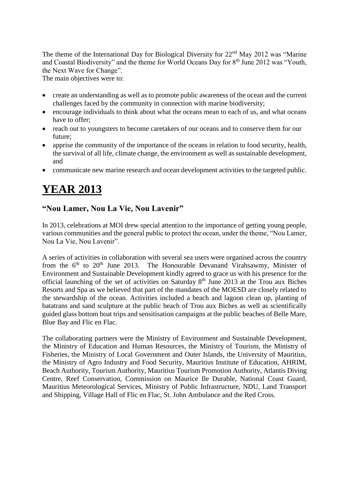The theme of the International Day for Biological Diversity for 22nd May 2012 was "Marine and Coastal Biodiversity" and the theme for World Oceans Day for  $8<sup>th</sup>$  June 2012 was "Youth, the Next Wave for Change".

The main objectives were to:

- create an understanding as well as to promote public awareness of the ocean and the current challenges faced by the community in connection with marine biodiversity;
- encourage individuals to think about what the oceans mean to each of us, and what oceans have to offer:
- reach out to youngsters to become caretakers of our oceans and to conserve them for our future;
- apprise the community of the importance of the oceans in relation to food security, health, the survival of all life, climate change, the environment as well as sustainable development, and
- communicate new marine research and ocean development activities to the targeted public.

## **YEAR 2013**

### **"Nou Lamer, Nou La Vie, Nou Lavenir"**

In 2013, celebrations at MOI drew special attention to the importance of getting young people, various communities and the general public to protect the ocean, under the theme, "Nou Lamer, Nou La Vie, Nou Lavenir".

A series of activities in collaboration with several sea users were organised across the country from the  $6<sup>th</sup>$  to  $20<sup>th</sup>$  June 2013. The Honourable Devanand Virahsawmy, Minister of Environment and Sustainable Development kindly agreed to grace us with his presence for the official launching of the set of activities on Saturday  $8<sup>th</sup>$  June 2013 at the Trou aux Biches Resorts and Spa as we believed that part of the mandates of the MOESD are closely related to the stewardship of the ocean. Activities included a beach and lagoon clean up, planting of batatrans and sand sculpture at the public beach of Trou aux Biches as well as scientifically guided glass bottom boat trips and sensitisation campaigns at the public beaches of Belle Mare, Blue Bay and Flic en Flac.

The collaborating partners were the Ministry of Environment and Sustainable Development, the Ministry of Education and Human Resources, the Ministry of Tourism, the Ministry of Fisheries, the Ministry of Local Government and Outer Islands, the University of Mauritius, the Ministry of Agro Industry and Food Security, Mauritius Institute of Education, AHRIM, Beach Authority, Tourism Authority, Mauritius Tourism Promotion Authority, Atlantis Diving Centre, Reef Conservation, Commission on Maurice Ile Durable, National Coast Guard, Mauritius Meteorological Services, Ministry of Public Infrastructure, NDU, Land Transport and Shipping, Village Hall of Flic en Flac, St. John Ambulance and the Red Cross.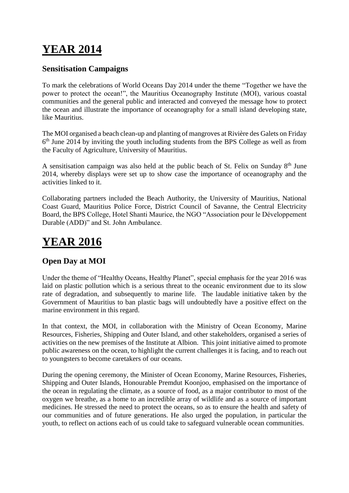### **Sensitisation Campaigns**

To mark the celebrations of World Oceans Day 2014 under the theme "Together we have the power to protect the ocean!", the Mauritius Oceanography Institute (MOI), various coastal communities and the general public and interacted and conveyed the message how to protect the ocean and illustrate the importance of oceanography for a small island developing state, like Mauritius.

The MOI organised a beach clean-up and planting of mangroves at Rivière des Galets on Friday 6<sup>th</sup> June 2014 by inviting the youth including students from the BPS College as well as from the Faculty of Agriculture, University of Mauritius.

A sensitisation campaign was also held at the public beach of St. Felix on Sunday 8<sup>th</sup> June 2014, whereby displays were set up to show case the importance of oceanography and the activities linked to it.

Collaborating partners included the Beach Authority, the University of Mauritius, National Coast Guard, Mauritius Police Force, District Council of Savanne, the Central Electricity Board, the BPS College, Hotel Shanti Maurice, the NGO "Association pour le Développement Durable (ADD)" and St. John Ambulance.

### **YEAR 2016**

### **Open Day at MOI**

Under the theme of "Healthy Oceans, Healthy Planet", special emphasis for the year 2016 was laid on plastic pollution which is a serious threat to the oceanic environment due to its slow rate of degradation, and subsequently to marine life. The laudable initiative taken by the Government of Mauritius to ban plastic bags will undoubtedly have a positive effect on the marine environment in this regard.

In that context, the MOI, in collaboration with the Ministry of Ocean Economy, Marine Resources, Fisheries, Shipping and Outer Island, and other stakeholders, organised a series of activities on the new premises of the Institute at Albion. This joint initiative aimed to promote public awareness on the ocean, to highlight the current challenges it is facing, and to reach out to youngsters to become caretakers of our oceans.

During the opening ceremony, the Minister of Ocean Economy, Marine Resources, Fisheries, Shipping and Outer Islands, Honourable Premdut Koonjoo, emphasised on the importance of the ocean in regulating the climate, as a source of food, as a major contributor to most of the oxygen we breathe, as a home to an incredible array of wildlife and as a source of important medicines. He stressed the need to protect the oceans, so as to ensure the health and safety of our communities and of future generations. He also urged the population, in particular the youth, to reflect on actions each of us could take to safeguard vulnerable ocean communities.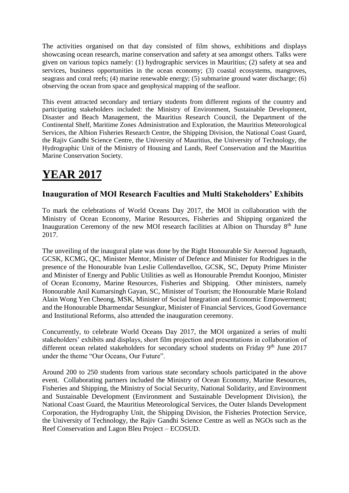The activities organised on that day consisted of film shows, exhibitions and displays showcasing ocean research, marine conservation and safety at sea amongst others. Talks were given on various topics namely: (1) hydrographic services in Mauritius; (2) safety at sea and services, business opportunities in the ocean economy; (3) coastal ecosystems, mangroves, seagrass and coral reefs; (4) marine renewable energy; (5) submarine ground water discharge; (6) observing the ocean from space and geophysical mapping of the seafloor.

This event attracted secondary and tertiary students from different regions of the country and participating stakeholders included: the Ministry of Environment, Sustainable Development, Disaster and Beach Management, the Mauritius Research Council, the Department of the Continental Shelf, Maritime Zones Administration and Exploration, the Mauritius Meteorological Services, the Albion Fisheries Research Centre, the Shipping Division, the National Coast Guard, the Rajiv Gandhi Science Centre, the University of Mauritius, the University of Technology, the Hydrographic Unit of the Ministry of Housing and Lands, Reef Conservation and the Mauritius Marine Conservation Society.

# **YEAR 2017**

### **Inauguration of MOI Research Faculties and Multi Stakeholders' Exhibits**

To mark the celebrations of World Oceans Day 2017, the MOI in collaboration with the Ministry of Ocean Economy, Marine Resources, Fisheries and Shipping organized the Inauguration Ceremony of the new MOI research facilities at Albion on Thursday  $8<sup>th</sup>$  June 2017.

The unveiling of the inaugural plate was done by the Right Honourable Sir Anerood Jugnauth, GCSK, KCMG, QC, Minister Mentor, Minister of Defence and Minister for Rodrigues in the presence of the Honourable Ivan Leslie Collendavelloo, GCSK, SC, Deputy Prime Minister and Minister of Energy and Public Utilities as well as Honourable Premdut Koonjoo, Minister of Ocean Economy, Marine Resources, Fisheries and Shipping. Other ministers, namely Honourable Anil Kumarsingh Gayan, SC, Minister of Tourism; the Honourable Marie Roland Alain Wong Yen Cheong, MSK, Minister of Social Integration and Economic Empowerment; and the Honourable Dharmendar Sesungkur, Minister of Financial Services, Good Governance and Institutional Reforms, also attended the inauguration ceremony.

Concurrently, to celebrate World Oceans Day 2017, the MOI organized a series of multi stakeholders' exhibits and displays, short film projection and presentations in collaboration of different ocean related stakeholders for secondary school students on Friday 9<sup>th</sup> June 2017 under the theme "Our Oceans, Our Future".

Around 200 to 250 students from various state secondary schools participated in the above event. Collaborating partners included the Ministry of Ocean Economy, Marine Resources, Fisheries and Shipping, the Ministry of Social Security, National Solidarity, and Environment and Sustainable Development (Environment and Sustainable Development Division), the National Coast Guard, the Mauritius Meteorological Services, the Outer Islands Development Corporation, the Hydrography Unit, the Shipping Division, the Fisheries Protection Service, the University of Technology, the Rajiv Gandhi Science Centre as well as NGOs such as the Reef Conservation and Lagon Bleu Project – ECOSUD.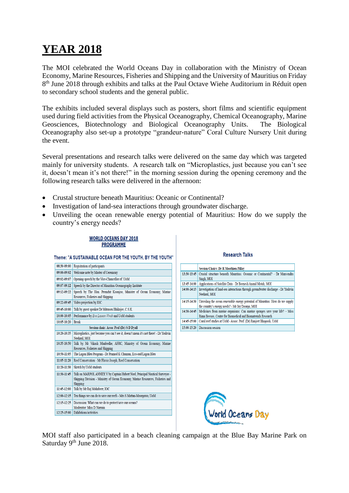The MOI celebrated the World Oceans Day in collaboration with the Ministry of Ocean Economy, Marine Resources, Fisheries and Shipping and the University of Mauritius on Friday 8<sup>th</sup> June 2018 through exhibits and talks at the Paul Octave Wiehe Auditorium in Réduit open to secondary school students and the general public.

The exhibits included several displays such as posters, short films and scientific equipment used during field activities from the Physical Oceanography, Chemical Oceanography, Marine Geosciences, Biotechnology and Biological Oceanography Units. The Biological Oceanography also set-up a prototype "grandeur-nature" Coral Culture Nursery Unit during the event.

Several presentations and research talks were delivered on the same day which was targeted mainly for university students. A research talk on "Microplastics, just because you can't see it, doesn't mean it's not there!" in the morning session during the opening ceremony and the following research talks were delivered in the afternoon:

- Crustal structure beneath Mauritius: Oceanic or Continental?
- Investigation of land-sea interactions through groundwater discharge.
- Unveiling the ocean renewable energy potential of Mauritius: How do we supply the country's energy needs?

#### Theme: "A SUSTAINABLE OCEAN FOR THE YOUTH, BY THE YOUTH" 08:30-09:00 Registration of participants 09:00-09:02 Welcome note by Master of Ceremony 09:02-09:07 Opening speech by the Vice-Chancellor of UoM 09:07-09:12 Speech by the Director of Mauritius Oceanography Institute 09:12-09:22 Speech by The Hon. Premdut Koonjoo, Minister of Ocean Economy, Marine Resources, Fisheries and Shipping 09:22-09:45 Video projection by IOC 09:45-10:00 Talk by guest speaker Dr Mitrasen Bhikajee, C.S.K. 10:00-10:05 Performance by Ene Losean Vivab and UoM students 10:05-10:20 Break Session chair: Assoc Prof (Dr) S D Dyall 10:20-10:35 | Microplastics, just because you can't see it, doesn't mean it's not there! - Dr Yashvin Neehaul MOI 10:35-10:50 Talk by Mr Vikash Munbodhe, AFRC, Ministry of Ocean Economy, Marine Resources, Fisheries and Shipping 10:50-11:05 The Lagon Bleu Program - Dr Pramod K Chumun, Eco-sud/Lagon Bleu 11:05-11:20 Reef Conservation - Mr Flavio Joseph, Reef Conservation 11:20-11:30 Sketch by UoM students 11:30-11:45 Talk on MARPOL ANNEX V by Captain Hubert Noel, Principal Nautical Surveyor -Shipping Division - Ministry of Ocean Economy, Marine Resources, Fisheries and Shipping 11:45-12:00 Talk by Mr Raj Mohabeer, IOC 12:00-12:15 Ten things we can do to save our reefs - Mrs S Mattan-Moorgawa, UoM 12:15-12:25 Discussion: What can we do to protect/save our oceans? Moderator: Miss D Narrain 12:25-15:00 Exhibitions/activities

**WORLD OCEANS DAY 2018 PROGRAMME** 

#### **Research Talks**

|             | <b>Session Chairs: Dr R Moothien Pillay</b>                                                                                       |
|-------------|-----------------------------------------------------------------------------------------------------------------------------------|
| 13:30-13:45 | Crustal structure beneath Mauritius: Oceanic or Continental? - Dr Manyendra<br>Singh, MOI                                         |
| 13:45-14:00 | Applications of Satellite Data - Dr Beenesh Anand Motah, MOI                                                                      |
| 14:00-14:15 | Investigation of land-sea interactions through groundwater discharge - Dr Yashvin<br>Neehaul. MOI                                 |
| 14:15 14:30 | Unveiling the ocean renewable energy potential of Mauritius: How do we supply<br>the country's energy needs? - Mr Jay Doorga, MOI |
| 14:30-14:45 | Medicines from marine organisms: Can marine sponges save your life? - Miss                                                        |
|             | Rima Beesoo, Centre for Biomedical and Biomaterials Research                                                                      |
| 14:45-15:00 | Coral reef studies at UoM - Assoc. Prof. (Dr) Ranjeet Bhagooli, UoM                                                               |
| 15:00-15:20 | Discussion session                                                                                                                |



MOI staff also participated in a beach cleaning campaign at the Blue Bay Marine Park on Saturday 9<sup>th</sup> June 2018.